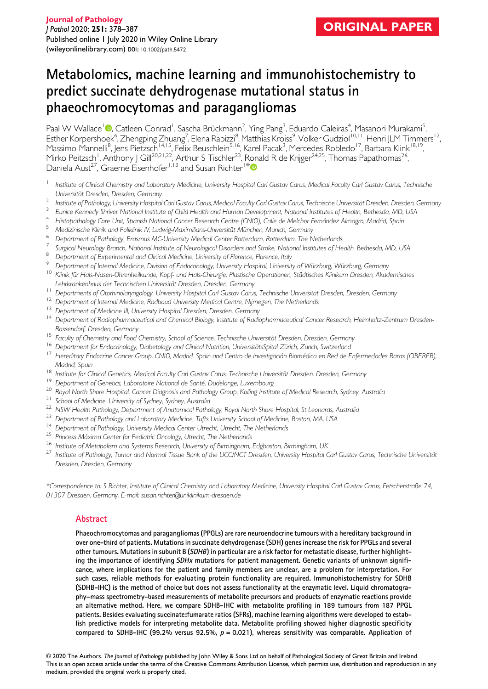# Metabolomics, machine learning and immunohistochemistry to predict succinate dehydrogenase mutational status in phaeochromocytomas and paragangliomas

Paal W Wallace<sup>1</sup> D, Catleen Conrad<sup>1</sup>, Sascha Brückmann<sup>2</sup>, Ying Pang<sup>3</sup>, Eduardo Caleiras<sup>4</sup>, Masanori Murakami<sup>5</sup> , Esther Korpershoek<sup>6</sup>, Zhengping Zhuang<sup>7</sup>, Elena Rapizzi<sup>8</sup>, Matthias Kroiss<sup>9</sup>, Volker Gudziol<sup>10,11</sup>, Henri JLM Timmers<sup>12</sup>, Massimo Mannelli<sup>8</sup>, Jens Pietzsch<sup>14,15</sup>, Felix Beuschlein<sup>5,16</sup>, Karel Pacak<sup>3</sup>, Mercedes Robledo<sup>17</sup>, Barbara Klink<sup>18,19</sup>, Mirko Peitzsch<sup>1</sup>, Anthony J Gill<sup>20,21,22</sup>, Arthur S Tischler<sup>23</sup>, Ronald R de Krijger<sup>24,25</sup>, Thomas Papathomas<sup>26</sup>, Daniela Aust<sup>27</sup>, Graeme Eisenhofer<sup>1,13</sup> and Susan Richter<sup>1[\\*](https://orcid.org/0000-0002-3549-2477)</sup><sup>D</sup>

- <sup>1</sup> Institute of Clinical Chemistry and Laboratory Medicine, University Hospital Carl Gustav Carus, Medical Faculty Carl Gustav Carus, Technische
- 
- 
- 
- 
- 
- 
- 
- 
- Universität Dresden, Dresden, Germany<br>
2 Institute of Pathology, University Hospital Carl Gustav Carus, Medical Faculty Carl Gustav Carus, Technische Universität Dresden, Dresden, Germany<br>
2 Institute of Pathology, Univers
- 
- 
- 
- Lehrkrankenhaus der Technischen Universität Dresden, Dresden, Germany<br>11 Departments of Otorhinolaryngology, University Hospital Carl Gustav Carus, Technische Universität Dresden, Dresden, Germany<br>12 Department of Internal
- 
- 
- Rossendorf, Dresden, Germany<br><sup>15</sup> Faculty of Chemistry and Food Chemistry, School of Science, Technische Universität Dresden, Dresden, Germany<br><sup>16</sup> Department for Endocrinology, Diabetology and Clinical Nutrition, Universi
- 
- 
- 
- 
- 
- 
- 
- 
- 
- Madrid, Spain<br>
<sup>18</sup> Institute for Clinical Genetics, Medical Faculty Carl Gustav Carus, Technische Universität Dresden, Dresden, Germany<br>
<sup>19</sup> Department of Genetics, Laboratoire National de Santé, Dudelange, Luxembourg<br>
<sup></sup> Dresden, Dresden, Germany

\*Correspondence to: S Richter, Institute of Clinical Chemistry and Laboratory Medicine, University Hospital Carl Gustav Carus, Fetscherstraße 74, 01307 Dresden, Germany. E-mail: [susan.richter@uniklinikum-dresden.de](mailto:susan.richter@uniklinikum-dresden.de)

## Abstract

Phaeochromocytomas and paragangliomas (PPGLs) are rare neuroendocrine tumours with a hereditary background in over one-third of patients. Mutations in succinate dehydrogenase (SDH) genes increase the risk for PPGLs and several other tumours. Mutations in subunit B (SDHB) in particular are a risk factor for metastatic disease, further highlighting the importance of identifying SDHx mutations for patient management. Genetic variants of unknown significance, where implications for the patient and family members are unclear, are a problem for interpretation. For such cases, reliable methods for evaluating protein functionality are required. Immunohistochemistry for SDHB (SDHB-IHC) is the method of choice but does not assess functionality at the enzymatic level. Liquid chromatography–mass spectrometry-based measurements of metabolite precursors and products of enzymatic reactions provide an alternative method. Here, we compare SDHB-IHC with metabolite profiling in 189 tumours from 187 PPGL patients. Besides evaluating succinate:fumarate ratios (SFRs), machine learning algorithms were developed to establish predictive models for interpreting metabolite data. Metabolite profiling showed higher diagnostic specificity compared to SDHB-IHC (99.2% versus 92.5%,  $p = 0.021$ ), whereas sensitivity was comparable. Application of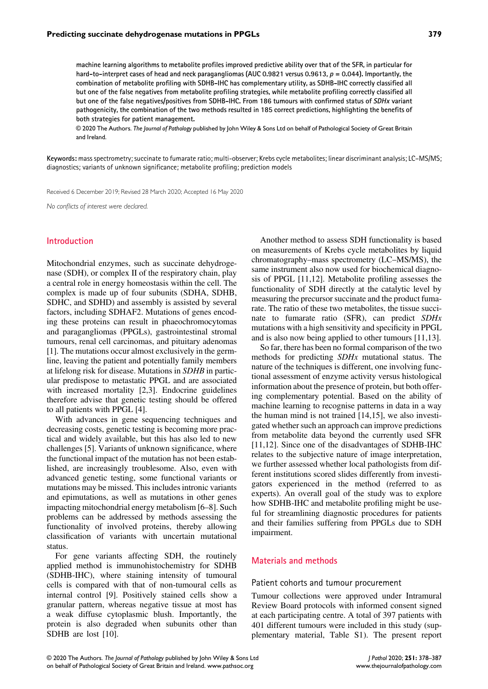machine learning algorithms to metabolite profiles improved predictive ability over that of the SFR, in particular for hard-to-interpret cases of head and neck paragangliomas (AUC 0.9821 versus 0.9613,  $p = 0.044$ ). Importantly, the combination of metabolite profiling with SDHB-IHC has complementary utility, as SDHB-IHC correctly classified all but one of the false negatives from metabolite profiling strategies, while metabolite profiling correctly classified all but one of the false negatives/positives from SDHB-IHC. From 186 tumours with confirmed status of SDHx variant pathogenicity, the combination of the two methods resulted in 185 correct predictions, highlighting the benefits of both strategies for patient management.

© 2020 The Authors. The Journal of Pathology published by John Wiley & Sons Ltd on behalf of Pathological Society of Great Britain and Ireland.

Keywords: mass spectrometry; succinate to fumarate ratio; multi-observer; Krebs cycle metabolites; linear discriminant analysis; LC–MS/MS; diagnostics; variants of unknown significance; metabolite profiling; prediction models

Received 6 December 2019; Revised 28 March 2020; Accepted 16 May 2020

No conflicts of interest were declared.

#### Introduction

Mitochondrial enzymes, such as succinate dehydrogenase (SDH), or complex II of the respiratory chain, play a central role in energy homeostasis within the cell. The complex is made up of four subunits (SDHA, SDHB, SDHC, and SDHD) and assembly is assisted by several factors, including SDHAF2. Mutations of genes encoding these proteins can result in phaeochromocytomas and paragangliomas (PPGLs), gastrointestinal stromal tumours, renal cell carcinomas, and pituitary adenomas [1]. The mutations occur almost exclusively in the germline, leaving the patient and potentially family members at lifelong risk for disease. Mutations in SDHB in particular predispose to metastatic PPGL and are associated with increased mortality [2,3]. Endocrine guidelines therefore advise that genetic testing should be offered to all patients with PPGL [4].

With advances in gene sequencing techniques and decreasing costs, genetic testing is becoming more practical and widely available, but this has also led to new challenges [5]. Variants of unknown significance, where the functional impact of the mutation has not been established, are increasingly troublesome. Also, even with advanced genetic testing, some functional variants or mutations may be missed. This includes intronic variants and epimutations, as well as mutations in other genes impacting mitochondrial energy metabolism [6–8]. Such problems can be addressed by methods assessing the functionality of involved proteins, thereby allowing classification of variants with uncertain mutational status.

For gene variants affecting SDH, the routinely applied method is immunohistochemistry for SDHB (SDHB-IHC), where staining intensity of tumoural cells is compared with that of non-tumoural cells as internal control [9]. Positively stained cells show a granular pattern, whereas negative tissue at most has a weak diffuse cytoplasmic blush. Importantly, the protein is also degraded when subunits other than SDHB are lost [10].

Another method to assess SDH functionality is based on measurements of Krebs cycle metabolites by liquid chromatography–mass spectrometry (LC–MS/MS), the same instrument also now used for biochemical diagnosis of PPGL [11,12]. Metabolite profiling assesses the functionality of SDH directly at the catalytic level by measuring the precursor succinate and the product fumarate. The ratio of these two metabolites, the tissue succinate to fumarate ratio (SFR), can predict SDHx mutations with a high sensitivity and specificity in PPGL and is also now being applied to other tumours [11,13].

So far, there has been no formal comparison of the two methods for predicting SDHx mutational status. The nature of the techniques is different, one involving functional assessment of enzyme activity versus histological information about the presence of protein, but both offering complementary potential. Based on the ability of machine learning to recognise patterns in data in a way the human mind is not trained [14,15], we also investigated whether such an approach can improve predictions from metabolite data beyond the currently used SFR [11,12]. Since one of the disadvantages of SDHB-IHC relates to the subjective nature of image interpretation, we further assessed whether local pathologists from different institutions scored slides differently from investigators experienced in the method (referred to as experts). An overall goal of the study was to explore how SDHB-IHC and metabolite profiling might be useful for streamlining diagnostic procedures for patients and their families suffering from PPGLs due to SDH impairment.

## Materials and methods

#### Patient cohorts and tumour procurement

Tumour collections were approved under Intramural Review Board protocols with informed consent signed at each participating centre. A total of 397 patients with 401 different tumours were included in this study (supplementary material, Table S1). The present report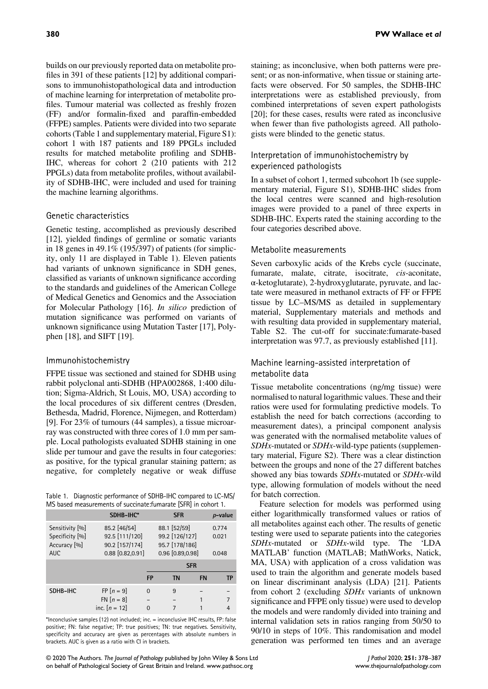builds on our previously reported data on metabolite profiles in 391 of these patients [12] by additional comparisons to immunohistopathological data and introduction of machine learning for interpretation of metabolite profiles. Tumour material was collected as freshly frozen (FF) and/or formalin-fixed and paraffin-embedded (FFPE) samples. Patients were divided into two separate cohorts (Table 1 and supplementary material, Figure S1): cohort 1 with 187 patients and 189 PPGLs included results for matched metabolite profiling and SDHB-IHC, whereas for cohort 2 (210 patients with 212 PPGLs) data from metabolite profiles, without availability of SDHB-IHC, were included and used for training the machine learning algorithms.

## Genetic characteristics

Genetic testing, accomplished as previously described [12], yielded findings of germline or somatic variants in 18 genes in 49.1% (195/397) of patients (for simplicity, only 11 are displayed in Table 1). Eleven patients had variants of unknown significance in SDH genes, classified as variants of unknown significance according to the standards and guidelines of the American College of Medical Genetics and Genomics and the Association for Molecular Pathology [16]. In silico prediction of mutation significance was performed on variants of unknown significance using Mutation Taster [17], Polyphen [18], and SIFT [19].

## Immunohistochemistry

FFPE tissue was sectioned and stained for SDHB using rabbit polyclonal anti-SDHB (HPA002868, 1:400 dilution; Sigma-Aldrich, St Louis, MO, USA) according to the local procedures of six different centres (Dresden, Bethesda, Madrid, Florence, Nijmegen, and Rotterdam) [9]. For 23% of tumours (44 samples), a tissue microarray was constructed with three cores of 1.0 mm per sample. Local pathologists evaluated SDHB staining in one slide per tumour and gave the results in four categories: as positive, for the typical granular staining pattern; as negative, for completely negative or weak diffuse

Table 1. Diagnostic performance of SDHB-IHC compared to LC-MS/ MS based measurements of succinate:fumarate [SFR] in cohort 1.

|                                                                  | SDHB-IHC*                                                                 |           | <b>SFR</b>                                                             |            | p-value                 |
|------------------------------------------------------------------|---------------------------------------------------------------------------|-----------|------------------------------------------------------------------------|------------|-------------------------|
| Sensitivity [%]<br>Specificity [%]<br>Accuracy [%]<br><b>AUC</b> | 85.2 [46/54]<br>92.5 [111/120]<br>90.2 [157/174]<br>$0.88$ $[0.82, 0.91]$ |           | 88.1 [52/59]<br>99.2 [126/127]<br>95.7 [178/186]<br>$0.96$ [0.89,0.98] |            | 0.774<br>0.021<br>0.048 |
|                                                                  |                                                                           |           |                                                                        | <b>SFR</b> |                         |
|                                                                  |                                                                           | <b>FP</b> | <b>TN</b>                                                              | <b>FN</b>  | <b>TP</b>               |
| SDHB-IHC                                                         | FP $[n = 9]$                                                              | $\Omega$  | 9                                                                      |            |                         |
|                                                                  | FN $[n = 8]$                                                              |           |                                                                        |            |                         |
|                                                                  | inc. $[n = 12]$                                                           |           |                                                                        |            |                         |

\*Inconclusive samples (12) not included; inc. = inconclusive IHC results, FP: false positive; FN: false negative; TP: true positives; TN: true negatives. Sensitivity, specificity and accuracy are given as percentages with absolute numbers in brackets. AUC is given as a ratio with CI in brackets.

staining; as inconclusive, when both patterns were present; or as non-informative, when tissue or staining artefacts were observed. For 50 samples, the SDHB-IHC interpretations were as established previously, from combined interpretations of seven expert pathologists [20]; for these cases, results were rated as inconclusive when fewer than five pathologists agreed. All pathologists were blinded to the genetic status.

# Interpretation of immunohistochemistry by experienced pathologists

In a subset of cohort 1, termed subcohort 1b (see supplementary material, Figure S1), SDHB-IHC slides from the local centres were scanned and high-resolution images were provided to a panel of three experts in SDHB-IHC. Experts rated the staining according to the four categories described above.

## Metabolite measurements

Seven carboxylic acids of the Krebs cycle (succinate, fumarate, malate, citrate, isocitrate, cis-aconitate, α-ketoglutarate), 2-hydroxyglutarate, pyruvate, and lactate were measured in methanol extracts of FF or FFPE tissue by LC–MS/MS as detailed in supplementary material, Supplementary materials and methods and with resulting data provided in supplementary material, Table S2. The cut-off for succinate:fumarate-based interpretation was 97.7, as previously established [11].

# Machine learning-assisted interpretation of metabolite data

Tissue metabolite concentrations (ng/mg tissue) were normalised to natural logarithmic values. These and their ratios were used for formulating predictive models. To establish the need for batch corrections (according to measurement dates), a principal component analysis was generated with the normalised metabolite values of SDHx-mutated or SDHx-wild-type patients (supplementary material, Figure S2). There was a clear distinction between the groups and none of the 27 different batches showed any bias towards SDHx-mutated or SDHx-wild type, allowing formulation of models without the need for batch correction.

Feature selection for models was performed using either logarithmically transformed values or ratios of all metabolites against each other. The results of genetic testing were used to separate patients into the categories SDHx-mutated or SDHx-wild type. The 'LDA MATLAB' function (MATLAB; MathWorks, Natick, MA, USA) with application of a cross validation was used to train the algorithm and generate models based on linear discriminant analysis (LDA) [21]. Patients from cohort 2 (excluding SDHx variants of unknown significance and FFPE only tissue) were used to develop the models and were randomly divided into training and internal validation sets in ratios ranging from 50/50 to 90/10 in steps of 10%. This randomisation and model generation was performed ten times and an average

© 2020 The Authors. The Journal of Pathology published by John Wiley & Sons Ltd on behalf of Pathological Society of Great Britain and Ireland. [www.pathsoc.org](http://www.pathsoc.org)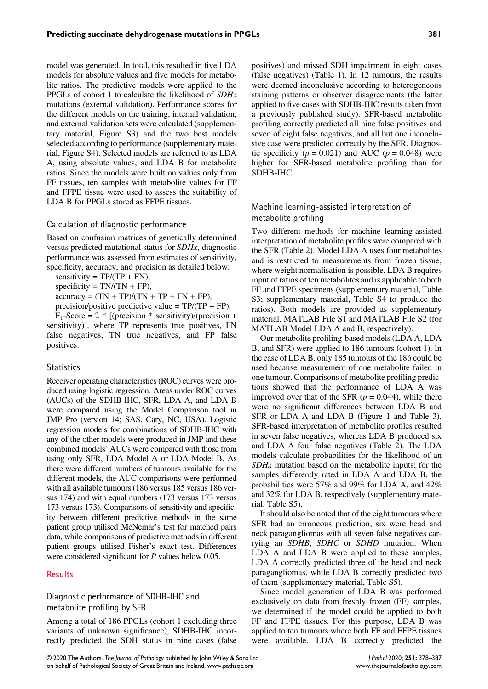model was generated. In total, this resulted in five LDA models for absolute values and five models for metabolite ratios. The predictive models were applied to the PPGLs of cohort 1 to calculate the likelihood of SDHx mutations (external validation). Performance scores for the different models on the training, internal validation, and external validation sets were calculated (supplementary material, Figure S3) and the two best models selected according to performance (supplementary material, Figure S4). Selected models are referred to as LDA A, using absolute values, and LDA B for metabolite ratios. Since the models were built on values only from FF tissues, ten samples with metabolite values for FF and FFPE tissue were used to assess the suitability of LDA B for PPGLs stored as FFPE tissues.

#### Calculation of diagnostic performance

Based on confusion matrices of genetically determined versus predicted mutational status for SDHx, diagnostic performance was assessed from estimates of sensitivity, specificity, accuracy, and precision as detailed below:

sensitivity =  $TP/(TP + FN)$ ,

 $specificity = TN/(TN + FP),$ 

 $accuracy = (TN + TP)/(TN + TP + FN + FP),$ 

precision/positive predictive value =  $TP/(TP + FP)$ ,

 $F_1$ -Score = 2 \* [(precision \* sensitivity)/(precision + sensitivity)], where TP represents true positives, FN false negatives, TN true negatives, and FP false positives.

## **Statistics**

Receiver operating characteristics (ROC) curves were produced using logistic regression. Areas under ROC curves (AUCs) of the SDHB-IHC, SFR, LDA A, and LDA B were compared using the Model Comparison tool in JMP Pro (version 14; SAS, Cary, NC, USA). Logistic regression models for combinations of SDHB-IHC with any of the other models were produced in JMP and these combined models' AUCs were compared with those from using only SFR, LDA Model A or LDA Model B. As there were different numbers of tumours available for the different models, the AUC comparisons were performed with all available tumours (186 versus 185 versus 186 versus 174) and with equal numbers (173 versus 173 versus 173 versus 173). Comparisons of sensitivity and specificity between different predictive methods in the same patient group utilised McNemar's test for matched pairs data, while comparisons of predictive methods in different patient groups utilised Fisher's exact test. Differences were considered significant for P values below 0.05.

## Results

## Diagnostic performance of SDHB-IHC and metabolite profiling by SFR

Among a total of 186 PPGLs (cohort 1 excluding three variants of unknown significance), SDHB-IHC incorrectly predicted the SDH status in nine cases (false

positives) and missed SDH impairment in eight cases (false negatives) (Table 1). In 12 tumours, the results were deemed inconclusive according to heterogeneous staining patterns or observer disagreements (the latter applied to five cases with SDHB-IHC results taken from a previously published study). SFR-based metabolite profiling correctly predicted all nine false positives and seven of eight false negatives, and all but one inconclusive case were predicted correctly by the SFR. Diagnostic specificity ( $p = 0.021$ ) and AUC ( $p = 0.048$ ) were higher for SFR-based metabolite profiling than for SDHB-IHC.

## Machine learning-assisted interpretation of metabolite profiling

Two different methods for machine learning-assisted interpretation of metabolite profiles were compared with the SFR (Table 2). Model LDA A uses four metabolites and is restricted to measurements from frozen tissue, where weight normalisation is possible. LDA B requires input of ratios of ten metabolites and is applicable to both FF and FFPE specimens (supplementary material, Table S3; supplementary material, Table S4 to produce the ratios). Both models are provided as supplementary material, MATLAB File S1 and MATLAB File S2 (for MATLAB Model LDA A and B, respectively).

Our metabolite profiling-based models (LDA A, LDA B, and SFR) were applied to 186 tumours (cohort 1). In the case of LDA B, only 185 tumours of the 186 could be used because measurement of one metabolite failed in one tumour. Comparisons of metabolite profiling predictions showed that the performance of LDA A was improved over that of the SFR ( $p = 0.044$ ), while there were no significant differences between LDA B and SFR or LDA A and LDA B (Figure 1 and Table 3). SFR-based interpretation of metabolite profiles resulted in seven false negatives, whereas LDA B produced six and LDA A four false negatives (Table 2). The LDA models calculate probabilities for the likelihood of an SDHx mutation based on the metabolite inputs; for the samples differently rated in LDA A and LDA B, the probabilities were 57% and 99% for LDA A, and 42% and 32% for LDA B, respectively (supplementary material, Table S5).

It should also be noted that of the eight tumours where SFR had an erroneous prediction, six were head and neck paragangliomas with all seven false negatives carrying an *SDHB*, *SDHC* or *SDHD* mutation. When LDA A and LDA B were applied to these samples, LDA A correctly predicted three of the head and neck paragangliomas, while LDA B correctly predicted two of them (supplementary material, Table S5).

Since model generation of LDA B was performed exclusively on data from freshly frozen (FF) samples, we determined if the model could be applied to both FF and FFPE tissues. For this purpose, LDA B was applied to ten tumours where both FF and FFPE tissues were available. LDA B correctly predicted the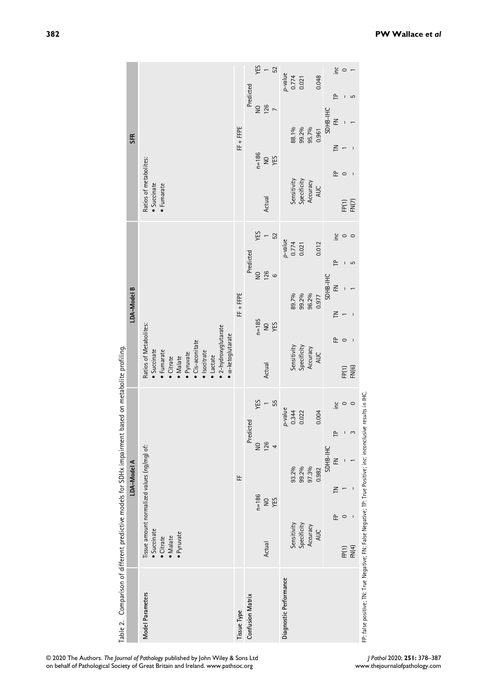| Actual<br>YES<br>52<br>u.<br>$\overline{\phantom{0}}$<br>$\circ$<br>$\circ$<br>$p$ -value<br>0.774<br>0.012<br>0.021<br>Predicted<br>은<br>LO<br>$\overline{1}$<br>126<br>$\overline{2}$<br>$\circ$<br>SDHB-IHC<br>준<br>FF+FPE<br>96.2%<br>89.7%<br>99.2%<br>0.977<br>$\leq$<br>$\mathbf{I}$<br>$n = 185$<br>$\frac{1}{2}$<br>YES<br>Ratios of Metabolites:<br>· 2-hydroxyglutarate<br>· $\alpha$ -ketoglutarate<br>凸<br>$\circ$<br>$\overline{\phantom{a}}$<br>· Cis-aconitate<br>Specificity<br>Sensitivity<br>Accuracy<br>· Succinate<br>· Fumarate<br>· Isocitrate<br>· Pyruvate<br><b>AUC</b><br>· Lactate<br>· Malate<br>• Citrate<br>Actual<br>YES<br>55<br>$\overline{\text{inc}}$<br>$\circ$<br>$\circ$<br>$p$ -value<br>0.344<br>0.004<br>0.022<br>Predicted<br>FP<br>126<br>$\overline{z}$<br>Tissue amount normalized values (ng/mg) of:<br>4<br>SDHB-IHC<br><b>ND</b><br>93.2%<br>99.2%<br>97.3%<br>0.982<br>出<br>N<br>$n = 186$<br>YES<br>$\approx$<br>운<br>$\circ$<br>Specificity<br>Sensitivity<br>Accuracy<br><b>AUC</b><br>· Succinate<br>· Pyruvate<br>• Citrate<br>· Malate<br>Actual<br>FP(1)<br>Diagnostic Performance<br>Model Parameters<br>Confusion Matrix<br><b>Tissue Type</b> | Table 2. Comparison of different predictive models for SDHx impairment |       | LDA-Model A | based on metabolite profiling. |                | LDA-Model B |  |                                                      |                        | <b>SFR</b>                       |   |                                                      |
|-----------------------------------------------------------------------------------------------------------------------------------------------------------------------------------------------------------------------------------------------------------------------------------------------------------------------------------------------------------------------------------------------------------------------------------------------------------------------------------------------------------------------------------------------------------------------------------------------------------------------------------------------------------------------------------------------------------------------------------------------------------------------------------------------------------------------------------------------------------------------------------------------------------------------------------------------------------------------------------------------------------------------------------------------------------------------------------------------------------------------------------------------------------------------------------------------------------|------------------------------------------------------------------------|-------|-------------|--------------------------------|----------------|-------------|--|------------------------------------------------------|------------------------|----------------------------------|---|------------------------------------------------------|
|                                                                                                                                                                                                                                                                                                                                                                                                                                                                                                                                                                                                                                                                                                                                                                                                                                                                                                                                                                                                                                                                                                                                                                                                           |                                                                        |       |             |                                |                |             |  | Ratios of metabolites:<br>· Succinate<br>· Fumarate  |                        |                                  |   |                                                      |
|                                                                                                                                                                                                                                                                                                                                                                                                                                                                                                                                                                                                                                                                                                                                                                                                                                                                                                                                                                                                                                                                                                                                                                                                           |                                                                        |       |             |                                |                |             |  |                                                      |                        | FF+FPE                           |   |                                                      |
|                                                                                                                                                                                                                                                                                                                                                                                                                                                                                                                                                                                                                                                                                                                                                                                                                                                                                                                                                                                                                                                                                                                                                                                                           |                                                                        |       |             |                                |                |             |  |                                                      | $n = 186$<br>N<br>S čR |                                  |   | Predicted<br>126<br>$\overline{a}$<br>$\overline{ }$ |
|                                                                                                                                                                                                                                                                                                                                                                                                                                                                                                                                                                                                                                                                                                                                                                                                                                                                                                                                                                                                                                                                                                                                                                                                           |                                                                        |       |             |                                |                |             |  | Sensitivity<br>Specificity<br>Accuracy<br><b>AUC</b> |                        | 95.7%<br>88.1%<br>99.2%<br>0.961 |   | $p$ -value<br>0.774                                  |
|                                                                                                                                                                                                                                                                                                                                                                                                                                                                                                                                                                                                                                                                                                                                                                                                                                                                                                                                                                                                                                                                                                                                                                                                           |                                                                        | FN(4) |             |                                | FP(1)<br>FN(6) |             |  | 凸<br>$\circ$<br>$\mathbf{I}$<br>$P(1)$<br>$FN(7)$    | $\leq$<br>$\mathbf{I}$ |                                  | 준 | 은<br>S<br>SDHB-IHC                                   |

© 2020 The Authors. The Journal of Pathology published by John Wiley & Sons Ltd on behalf of Pathological Society of Great Britain and Ireland. [www.pathsoc.org](http://www.pathsoc.org)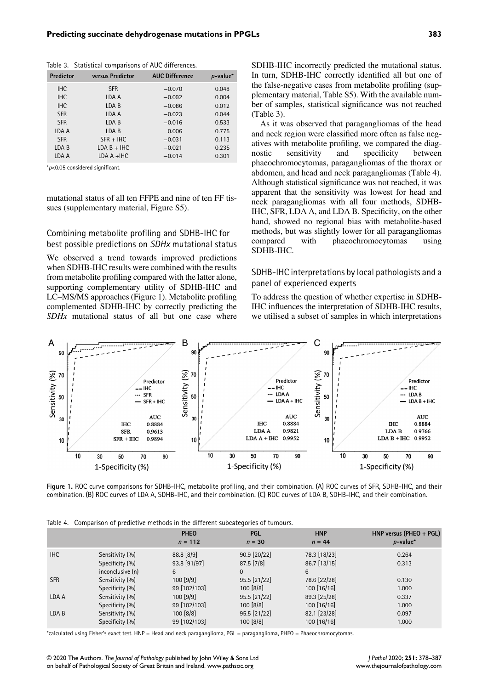Table 3. Statistical comparisons of AUC differences.

| <b>Predictor</b> | versus Predictor | <b>AUC Difference</b> | $p$ -value* |
|------------------|------------------|-----------------------|-------------|
| IHC.             | <b>SFR</b>       | $-0.070$              | 0.048       |
| IHC.             | IDA A            | $-0.092$              | 0.004       |
| IHC.             | LDA B            | $-0.086$              | 0.012       |
| <b>SFR</b>       | IDA A            | $-0.023$              | 0.044       |
| <b>SFR</b>       | LDA B            | $-0.016$              | 0.533       |
| LDA A            | LDA B            | 0.006                 | 0.775       |
| <b>SFR</b>       | $SFR + IHC$      | $-0.031$              | 0.113       |
| LDA B            | $LDA B + IHC$    | $-0.021$              | 0.235       |
| LDA A            | $LDA A + H C$    | $-0.014$              | 0.301       |

\*p<0.05 considered significant.

mutational status of all ten FFPE and nine of ten FF tissues (supplementary material, Figure S5).

Combining metabolite profiling and SDHB-IHC for best possible predictions on SDHx mutational status

We observed a trend towards improved predictions when SDHB-IHC results were combined with the results from metabolite profiling compared with the latter alone, supporting complementary utility of SDHB-IHC and LC–MS/MS approaches (Figure 1). Metabolite profiling complemented SDHB-IHC by correctly predicting the SDHx mutational status of all but one case where

SDHB-IHC incorrectly predicted the mutational status. In turn, SDHB-IHC correctly identified all but one of the false-negative cases from metabolite profiling (supplementary material, Table S5). With the available number of samples, statistical significance was not reached (Table 3).

As it was observed that paragangliomas of the head and neck region were classified more often as false negatives with metabolite profiling, we compared the diagnostic sensitivity and specificity between phaeochromocytomas, paragangliomas of the thorax or abdomen, and head and neck paragangliomas (Table 4). Although statistical significance was not reached, it was apparent that the sensitivity was lowest for head and neck paragangliomas with all four methods, SDHB-IHC, SFR, LDA A, and LDA B. Specificity, on the other hand, showed no regional bias with metabolite-based methods, but was slightly lower for all paragangliomas compared with phaeochromocytomas using SDHB-IHC.

## SDHB-IHC interpretations by local pathologists and a panel of experienced experts

To address the question of whether expertise in SDHB-IHC influences the interpretation of SDHB-IHC results, we utilised a subset of samples in which interpretations



Figure 1. ROC curve comparisons for SDHB-IHC, metabolite profiling, and their combination. (A) ROC curves of SFR, SDHB-IHC, and their combination. (B) ROC curves of LDA A, SDHB-IHC, and their combination. (C) ROC curves of LDA B, SDHB-IHC, and their combination.

|  |  |  | Table 4. Comparison of predictive methods in the different subcategories of tumours |  |
|--|--|--|-------------------------------------------------------------------------------------|--|
|  |  |  |                                                                                     |  |

|            |                  | <b>PHEO</b><br>$n = 112$ | <b>PGL</b><br>$n = 30$ | <b>HNP</b><br>$n = 44$ | HNP versus (PHEO + PGL)<br>$p$ -value* |
|------------|------------------|--------------------------|------------------------|------------------------|----------------------------------------|
| <b>IHC</b> | Sensitivity (%)  | 88.8 [8/9]               | 90.9 [20/22]           | 78.3 [18/23]           | 0.264                                  |
|            | Specificity (%)  | 93.8 [91/97]             | $87.5$ [7/8]           | $86.7$ [13/15]         | 0.313                                  |
|            | inconclusive (n) | 6                        | $\Omega$               | 6                      |                                        |
| <b>SFR</b> | Sensitivity (%)  | 100 [9/9]                | $95.5$ [21/22]         | 78.6 [22/28]           | 0.130                                  |
|            | Specificity (%)  | 99 [102/103]             | 100 [8/8]              | $100$ [16/16]          | 1.000                                  |
| LDA A      | Sensitivity (%)  | 100 [9/9]                | 95.5 [21/22]           | 89.3 [25/28]           | 0.337                                  |
|            | Specificity (%)  | 99 [102/103]             | 100 [8/8]              | 100 [16/16]            | 1.000                                  |
| LDA B      | Sensitivity (%)  | 100 [8/8]                | $95.5$ [21/22]         | 82.1 [23/28]           | 0.097                                  |
|            | Specificity (%)  | 99 [102/103]             | 100 [8/8]              | 100 [16/16]            | 1.000                                  |
|            |                  |                          |                        |                        |                                        |

\*calculated using Fisher's exact test. HNP = Head and neck paraganglioma, PGL = paraganglioma, PHEO = Phaeochromocytomas.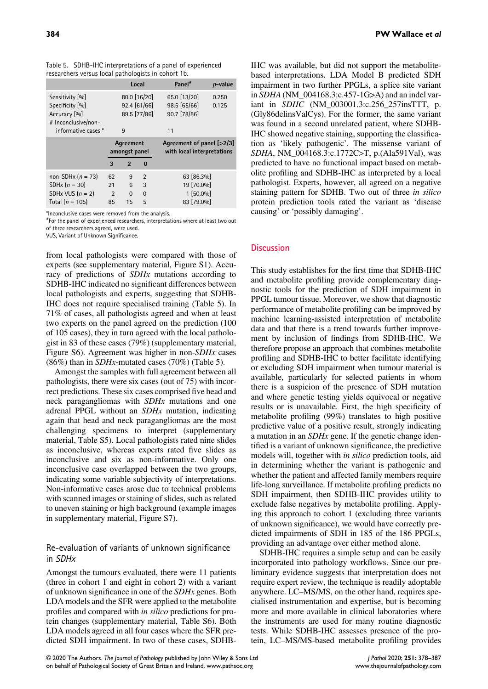|  | Table 5. SDHB-IHC interpretations of a panel of experienced |  |
|--|-------------------------------------------------------------|--|
|  | researchers versus local pathologists in cohort 1b.         |  |

|                                                                                                  |   | Local                                             |          | Panel#                                                  | <i>p</i> -value |
|--------------------------------------------------------------------------------------------------|---|---------------------------------------------------|----------|---------------------------------------------------------|-----------------|
| Sensitivity [%]<br>Specificity [%]<br>Accuracy [%]<br># Inconclusive/non-<br>informative cases * |   | 80.0 [16/20]<br>92.4 [61/66]<br>89.5 [77/86]<br>9 |          | 65.0 [13/20]<br>98.5 [65/66]<br>90.7 [78/86]<br>11      | 0.250<br>0.125  |
|                                                                                                  |   |                                                   |          |                                                         |                 |
|                                                                                                  |   | Agreement<br>amongst panel                        |          | Agreement of panel [>2/3]<br>with local interpretations |                 |
|                                                                                                  | 3 | $\mathcal{P}$                                     | $\Omega$ |                                                         |                 |

\*Inconclusive cases were removed from the analysis.

# For the panel of experienced researchers, interpretations where at least two out of three researchers agreed, were used.

VUS, Variant of Unknown Significance.

from local pathologists were compared with those of experts (see supplementary material, Figure S1). Accuracy of predictions of SDHx mutations according to SDHB-IHC indicated no significant differences between local pathologists and experts, suggesting that SDHB-IHC does not require specialised training (Table 5). In 71% of cases, all pathologists agreed and when at least two experts on the panel agreed on the prediction (100 of 105 cases), they in turn agreed with the local pathologist in 83 of these cases (79%) (supplementary material, Figure S6). Agreement was higher in non-SDHx cases  $(86\%)$  than in SDHx-mutated cases  $(70\%)$  (Table 5).

Amongst the samples with full agreement between all pathologists, there were six cases (out of 75) with incorrect predictions. These six cases comprised five head and neck paragangliomas with SDHx mutations and one adrenal PPGL without an SDHx mutation, indicating again that head and neck paragangliomas are the most challenging specimens to interpret (supplementary material, Table S5). Local pathologists rated nine slides as inconclusive, whereas experts rated five slides as inconclusive and six as non-informative. Only one inconclusive case overlapped between the two groups, indicating some variable subjectivity of interpretations. Non-informative cases arose due to technical problems with scanned images or staining of slides, such as related to uneven staining or high background (example images in supplementary material, Figure S7).

# Re-evaluation of variants of unknown significance in SDHx

Amongst the tumours evaluated, there were 11 patients (three in cohort 1 and eight in cohort 2) with a variant of unknown significance in one of the SDHx genes. Both LDA models and the SFR were applied to the metabolite profiles and compared with in silico predictions for protein changes (supplementary material, Table S6). Both LDA models agreed in all four cases where the SFR predicted SDH impairment. In two of these cases, SDHB-

IHC was available, but did not support the metabolitebased interpretations. LDA Model B predicted SDH impairment in two further PPGLs, a splice site variant in  $SDHA$  (NM  $004168.3$ :c.457-1G>A) and an indel variant in SDHC (NM\_003001.3:c.256\_257insTTT, p. (Gly86delinsValCys). For the former, the same variant was found in a second unrelated patient, where SDHB-IHC showed negative staining, supporting the classification as 'likely pathogenic'. The missense variant of SDHA, NM\_004168.3:c.1772C>T, p.(Ala591Val), was predicted to have no functional impact based on metabolite profiling and SDHB-IHC as interpreted by a local pathologist. Experts, however, all agreed on a negative staining pattern for SDHB. Two out of three in silico protein prediction tools rated the variant as 'disease causing' or 'possibly damaging'.

## **Discussion**

This study establishes for the first time that SDHB-IHC and metabolite profiling provide complementary diagnostic tools for the prediction of SDH impairment in PPGL tumour tissue. Moreover, we show that diagnostic performance of metabolite profiling can be improved by machine learning-assisted interpretation of metabolite data and that there is a trend towards further improvement by inclusion of findings from SDHB-IHC. We therefore propose an approach that combines metabolite profiling and SDHB-IHC to better facilitate identifying or excluding SDH impairment when tumour material is available, particularly for selected patients in whom there is a suspicion of the presence of SDH mutation and where genetic testing yields equivocal or negative results or is unavailable. First, the high specificity of metabolite profiling (99%) translates to high positive predictive value of a positive result, strongly indicating a mutation in an SDHx gene. If the genetic change identified is a variant of unknown significance, the predictive models will, together with in silico prediction tools, aid in determining whether the variant is pathogenic and whether the patient and affected family members require life-long surveillance. If metabolite profiling predicts no SDH impairment, then SDHB-IHC provides utility to exclude false negatives by metabolite profiling. Applying this approach to cohort 1 (excluding three variants of unknown significance), we would have correctly predicted impairments of SDH in 185 of the 186 PPGLs, providing an advantage over either method alone.

SDHB-IHC requires a simple setup and can be easily incorporated into pathology workflows. Since our preliminary evidence suggests that interpretation does not require expert review, the technique is readily adoptable anywhere. LC–MS/MS, on the other hand, requires specialised instrumentation and expertise, but is becoming more and more available in clinical laboratories where the instruments are used for many routine diagnostic tests. While SDHB-IHC assesses presence of the protein, LC–MS/MS-based metabolite profiling provides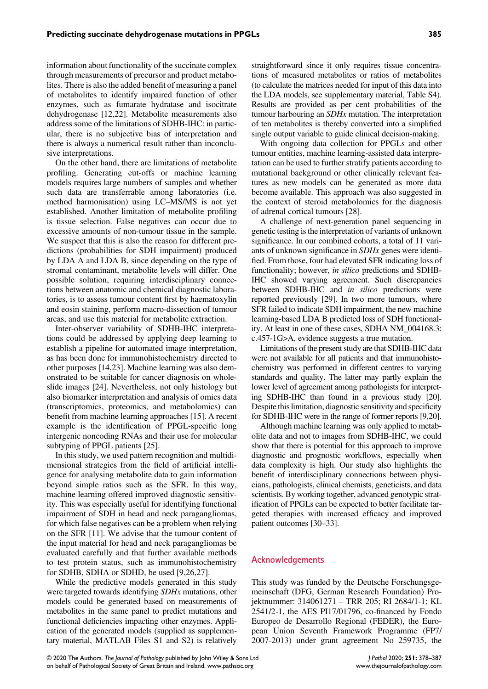information about functionality of the succinate complex through measurements of precursor and product metabolites. There is also the added benefit of measuring a panel of metabolites to identify impaired function of other enzymes, such as fumarate hydratase and isocitrate dehydrogenase [12,22]. Metabolite measurements also address some of the limitations of SDHB-IHC: in particular, there is no subjective bias of interpretation and there is always a numerical result rather than inconclusive interpretations.

On the other hand, there are limitations of metabolite profiling. Generating cut-offs or machine learning models requires large numbers of samples and whether such data are transferrable among laboratories (i.e. method harmonisation) using LC–MS/MS is not yet established. Another limitation of metabolite profiling is tissue selection. False negatives can occur due to excessive amounts of non-tumour tissue in the sample. We suspect that this is also the reason for different predictions (probabilities for SDH impairment) produced by LDA A and LDA B, since depending on the type of stromal contaminant, metabolite levels will differ. One possible solution, requiring interdisciplinary connections between anatomic and chemical diagnostic laboratories, is to assess tumour content first by haematoxylin and eosin staining, perform macro-dissection of tumour areas, and use this material for metabolite extraction.

Inter-observer variability of SDHB-IHC interpretations could be addressed by applying deep learning to establish a pipeline for automated image interpretation, as has been done for immunohistochemistry directed to other purposes [14,23]. Machine learning was also demonstrated to be suitable for cancer diagnosis on wholeslide images [24]. Nevertheless, not only histology but also biomarker interpretation and analysis of omics data (transcriptomics, proteomics, and metabolomics) can benefit from machine learning approaches [15]. A recent example is the identification of PPGL-specific long intergenic noncoding RNAs and their use for molecular subtyping of PPGL patients [25].

In this study, we used pattern recognition and multidimensional strategies from the field of artificial intelligence for analysing metabolite data to gain information beyond simple ratios such as the SFR. In this way, machine learning offered improved diagnostic sensitivity. This was especially useful for identifying functional impairment of SDH in head and neck paragangliomas, for which false negatives can be a problem when relying on the SFR [11]. We advise that the tumour content of the input material for head and neck paragangliomas be evaluated carefully and that further available methods to test protein status, such as immunohistochemistry for SDHB, SDHA or SDHD, be used [9,26,27].

While the predictive models generated in this study were targeted towards identifying *SDHx* mutations, other models could be generated based on measurements of metabolites in the same panel to predict mutations and functional deficiencies impacting other enzymes. Application of the generated models (supplied as supplementary material, MATLAB Files S1 and S2) is relatively

straightforward since it only requires tissue concentrations of measured metabolites or ratios of metabolites (to calculate the matrices needed for input of this data into the LDA models, see supplementary material, Table S4). Results are provided as per cent probabilities of the tumour harbouring an SDHx mutation. The interpretation of ten metabolites is thereby converted into a simplified single output variable to guide clinical decision-making.

With ongoing data collection for PPGLs and other tumour entities, machine learning-assisted data interpretation can be used to further stratify patients according to mutational background or other clinically relevant features as new models can be generated as more data become available. This approach was also suggested in the context of steroid metabolomics for the diagnosis of adrenal cortical tumours [28].

A challenge of next-generation panel sequencing in genetic testing is the interpretation of variants of unknown significance. In our combined cohorts, a total of 11 variants of unknown significance in SDHx genes were identified. From those, four had elevated SFR indicating loss of functionality; however, *in silico* predictions and SDHB-IHC showed varying agreement. Such discrepancies between SDHB-IHC and in silico predictions were reported previously [29]. In two more tumours, where SFR failed to indicate SDH impairment, the new machine learning-based LDA B predicted loss of SDH functionality. At least in one of these cases, SDHA NM\_004168.3: c.457-1G>A, evidence suggests a true mutation.

Limitations of the present study are that SDHB-IHC data were not available for all patients and that immunohistochemistry was performed in different centres to varying standards and quality. The latter may partly explain the lower level of agreement among pathologists for interpreting SDHB-IHC than found in a previous study [20]. Despite this limitation, diagnostic sensitivity and specificity for SDHB-IHC were in the range of former reports [9,20].

Although machine learning was only applied to metabolite data and not to images from SDHB-IHC, we could show that there is potential for this approach to improve diagnostic and prognostic workflows, especially when data complexity is high. Our study also highlights the benefit of interdisciplinary connections between physicians, pathologists, clinical chemists, geneticists, and data scientists. By working together, advanced genotypic stratification of PPGLs can be expected to better facilitate targeted therapies with increased efficacy and improved patient outcomes [30–33].

#### Acknowledgements

This study was funded by the Deutsche Forschungsgemeinschaft (DFG, German Research Foundation) Projektnummer: 314061271 – TRR 205; RI 2684/1-1; KL 2541/2-1, the AES PI17/01796, co-financed by Fondo Europeo de Desarrollo Regional (FEDER), the European Union Seventh Framework Programme (FP7/ 2007-2013) under grant agreement No 259735, the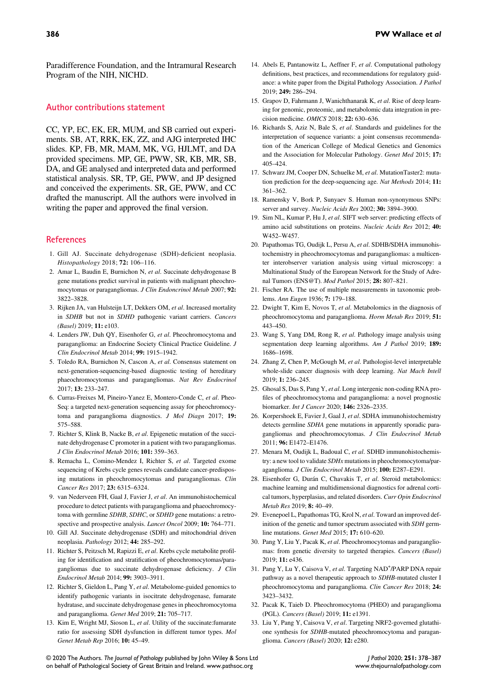Paradifference Foundation, and the Intramural Research Program of the NIH, NICHD.

#### Author contributions statement

CC, YP, EC, EK, ER, MUM, and SB carried out experiments. SB, AT, RRK, EK, ZZ, and AJG interpreted IHC slides. KP, FB, MR, MAM, MK, VG, HJLMT, and DA provided specimens. MP, GE, PWW, SR, KB, MR, SB, DA, and GE analysed and interpreted data and performed statistical analysis. SR, TP, GE, PWW, and JP designed and conceived the experiments. SR, GE, PWW, and CC drafted the manuscript. All the authors were involved in writing the paper and approved the final version.

#### **References**

- 1. Gill AJ. Succinate dehydrogenase (SDH)-deficient neoplasia. Histopathology 2018; 72: 106–116.
- 2. Amar L, Baudin E, Burnichon N, et al. Succinate dehydrogenase B gene mutations predict survival in patients with malignant pheochromocytomas or paragangliomas. J Clin Endoncrinol Metab 2007; 92: 3822–3828.
- 3. Rijken JA, van Hulsteijn LT, Dekkers OM, et al. Increased mortality in SDHB but not in SDHD pathogenic variant carriers. Cancers (Basel) 2019; 11: e103.
- 4. Lenders JW, Duh QY, Eisenhofer G, et al. Pheochromocytoma and paraganglioma: an Endocrine Society Clinical Practice Guideline. J Clin Endocrinol Metab 2014; 99: 1915–1942.
- 5. Toledo RA, Burnichon N, Cascon A, et al. Consensus statement on next-generation-sequencing-based diagnostic testing of hereditary phaeochromocytomas and paragangliomas. Nat Rev Endocrinol 2017; 13: 233–247.
- 6. Curras-Freixes M, Pineiro-Yanez E, Montero-Conde C, et al. Pheo-Seq: a targeted next-generation sequencing assay for pheochromocytoma and paraganglioma diagnostics. J Mol Diagn 2017; 19: 575–588.
- 7. Richter S, Klink B, Nacke B, et al. Epigenetic mutation of the succinate dehydrogenase C promoter in a patient with two paragangliomas. J Clin Endocrinol Metab 2016; 101: 359–363.
- 8. Remacha L, Comino-Mendez I, Richter S, et al. Targeted exome sequencing of Krebs cycle genes reveals candidate cancer-predisposing mutations in pheochromocytomas and paragangliomas. Clin Cancer Res 2017; 23: 6315–6324.
- 9. van Nederveen FH, Gaal J, Favier J, et al. An immunohistochemical procedure to detect patients with paraganglioma and phaeochromocytoma with germline SDHB, SDHC, or SDHD gene mutations: a retrospective and prospective analysis. Lancet Oncol 2009; 10: 764–771.
- 10. Gill AJ. Succinate dehydrogenase (SDH) and mitochondrial driven neoplasia. Pathology 2012; 44: 285–292.
- 11. Richter S, Peitzsch M, Rapizzi E, et al. Krebs cycle metabolite profiling for identification and stratification of pheochromocytomas/paragangliomas due to succinate dehydrogenase deficiency. J Clin Endocrinol Metab 2014; 99: 3903–3911.
- 12. Richter S, Gieldon L, Pang Y, et al. Metabolome-guided genomics to identify pathogenic variants in isocitrate dehydrogenase, fumarate hydratase, and succinate dehydrogenase genes in pheochromocytoma and paraganglioma. Genet Med 2019; 21: 705–717.
- 13. Kim E, Wright MJ, Sioson L, et al. Utility of the succinate:fumarate ratio for assessing SDH dysfunction in different tumor types. Mol Genet Metab Rep 2016; 10: 45–49.
- 14. Abels E, Pantanowitz L, Aeffner F, et al. Computational pathology definitions, best practices, and recommendations for regulatory guidance: a white paper from the Digital Pathology Association. J Pathol 2019; 249: 286–294.
- 15. Grapov D, Fahrmann J, Wanichthanarak K, et al. Rise of deep learning for genomic, proteomic, and metabolomic data integration in precision medicine. OMICS 2018; 22: 630–636.
- 16. Richards S, Aziz N, Bale S, et al. Standards and guidelines for the interpretation of sequence variants: a joint consensus recommendation of the American College of Medical Genetics and Genomics and the Association for Molecular Pathology. Genet Med 2015; 17: 405–424.
- 17. Schwarz JM, Cooper DN, Schuelke M, et al. MutationTaster2: mutation prediction for the deep-sequencing age. Nat Methods 2014; 11: 361–362.
- 18. Ramensky V, Bork P, Sunyaev S. Human non-synonymous SNPs: server and survey. Nucleic Acids Res 2002; 30: 3894–3900.
- 19. Sim NL, Kumar P, Hu J, et al. SIFT web server: predicting effects of amino acid substitutions on proteins. Nucleic Acids Res 2012; 40: W452–W457.
- 20. Papathomas TG, Oudijk L, Persu A, et al. SDHB/SDHA immunohistochemistry in pheochromocytomas and paragangliomas: a multicenter interobserver variation analysis using virtual microscopy: a Multinational Study of the European Network for the Study of Adrenal Tumors (ENS@T). Mod Pathol 2015; 28: 807–821.
- 21. Fischer RA. The use of multiple measurements in taxonomic problems. Ann Eugen 1936; 7: 179–188.
- 22. Dwight T, Kim E, Novos T, et al. Metabolomics in the diagnosis of pheochromocytoma and paraganglioma. Horm Metab Res 2019; 51: 443–450.
- 23. Wang S, Yang DM, Rong R, et al. Pathology image analysis using segmentation deep learning algorithms. Am J Pathol 2019; 189: 1686–1698.
- 24. Zhang Z, Chen P, McGough M, et al. Pathologist-level interpretable whole-slide cancer diagnosis with deep learning. Nat Mach Intell 2019; 1: 236–245.
- 25. Ghosal S, Das S, Pang Y, et al. Long intergenic non-coding RNA profiles of pheochromocytoma and paraganglioma: a novel prognostic biomarker. Int J Cancer 2020; 146: 2326–2335.
- 26. Korpershoek E, Favier J, Gaal J, et al. SDHA immunohistochemistry detects germline SDHA gene mutations in apparently sporadic paragangliomas and pheochromocytomas. J Clin Endocrinol Metab 2011; 96: E1472–E1476.
- 27. Menara M, Oudijk L, Badoual C, et al. SDHD immunohistochemistry: a new tool to validate SDHx mutations in pheochromocytoma/paraganglioma. J Clin Endocrinol Metab 2015; 100: E287–E291.
- 28. Eisenhofer G, Durán C, Chavakis T, et al. Steroid metabolomics: machine learning and multidimensional diagnostics for adrenal cortical tumors, hyperplasias, and related disorders. Curr Opin Endocrinol Metab Res 2019; 8: 40–49.
- 29. Evenepoel L, Papathomas TG, Krol N, et al. Toward an improved definition of the genetic and tumor spectrum associated with SDH germline mutations. Genet Med 2015; 17: 610–620.
- 30. Pang Y, Liu Y, Pacak K, et al. Pheochromocytomas and paragangliomas: from genetic diversity to targeted therapies. Cancers (Basel) 2019; 11: e436.
- 31. Pang Y, Lu Y, Caisova V, et al. Targeting NAD<sup>+</sup>/PARP DNA repair pathway as a novel therapeutic approach to SDHB-mutated cluster I pheochromocytoma and paraganglioma. Clin Cancer Res 2018; 24: 3423–3432.
- 32. Pacak K, Taieb D. Pheochromocytoma (PHEO) and paraganglioma (PGL). Cancers (Basel) 2019; 11: e1391.
- 33. Liu Y, Pang Y, Caisova V, et al. Targeting NRF2-governed glutathione synthesis for SDHB-mutated pheochromocytoma and paraganglioma. Cancers (Basel) 2020; 12: e280.